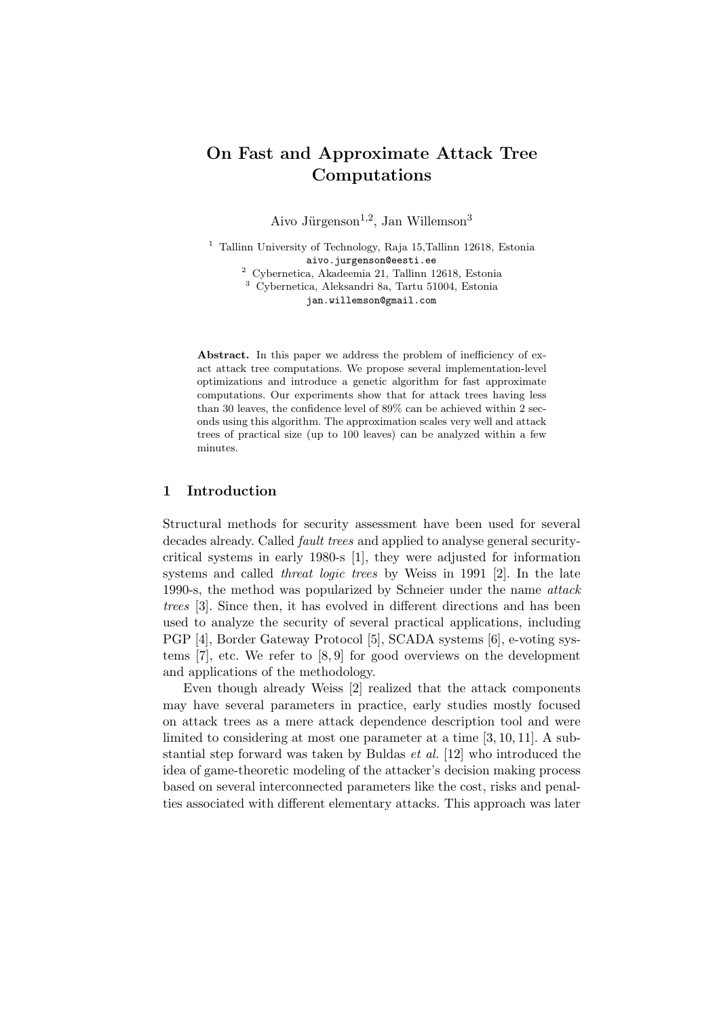# On Fast and Approximate Attack Tree Computations

Aivo Jürgenson<sup>1,2</sup>, Jan Willemson<sup>3</sup>

<sup>1</sup> Tallinn University of Technology, Raja 15,Tallinn 12618, Estonia aivo.jurgenson@eesti.ee  $^2$  Cybernetica, Akadeemia 21, Tallinn 12618, Estonia <sup>3</sup> Cybernetica, Aleksandri 8a, Tartu 51004, Estonia jan.willemson@gmail.com

Abstract. In this paper we address the problem of inefficiency of exact attack tree computations. We propose several implementation-level optimizations and introduce a genetic algorithm for fast approximate computations. Our experiments show that for attack trees having less than 30 leaves, the confidence level of 89% can be achieved within 2 seconds using this algorithm. The approximation scales very well and attack trees of practical size (up to 100 leaves) can be analyzed within a few minutes.

#### 1 Introduction

Structural methods for security assessment have been used for several decades already. Called *fault trees* and applied to analyse general securitycritical systems in early 1980-s [1], they were adjusted for information systems and called *threat logic trees* by Weiss in 1991 [2]. In the late 1990-s, the method was popularized by Schneier under the name attack trees [3]. Since then, it has evolved in different directions and has been used to analyze the security of several practical applications, including PGP [4], Border Gateway Protocol [5], SCADA systems [6], e-voting systems [7], etc. We refer to [8, 9] for good overviews on the development and applications of the methodology.

Even though already Weiss [2] realized that the attack components may have several parameters in practice, early studies mostly focused on attack trees as a mere attack dependence description tool and were limited to considering at most one parameter at a time [3, 10, 11]. A substantial step forward was taken by Buldas et al. [12] who introduced the idea of game-theoretic modeling of the attacker's decision making process based on several interconnected parameters like the cost, risks and penalties associated with different elementary attacks. This approach was later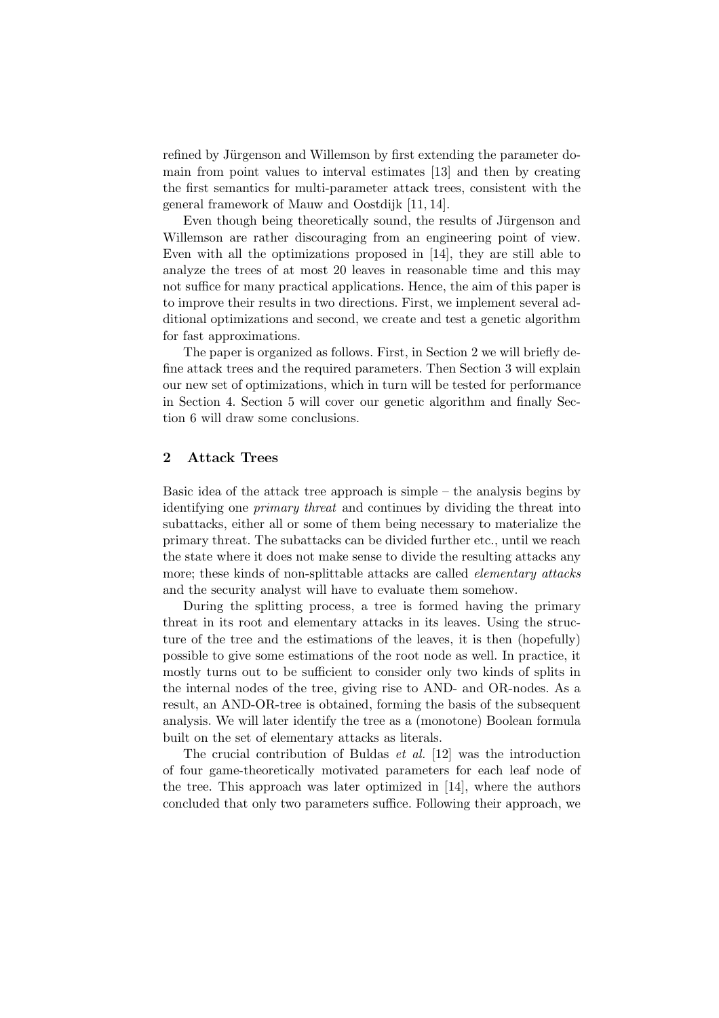refined by Jürgenson and Willemson by first extending the parameter domain from point values to interval estimates [13] and then by creating the first semantics for multi-parameter attack trees, consistent with the general framework of Mauw and Oostdijk [11, 14].

Even though being theoretically sound, the results of Jürgenson and Willemson are rather discouraging from an engineering point of view. Even with all the optimizations proposed in [14], they are still able to analyze the trees of at most 20 leaves in reasonable time and this may not suffice for many practical applications. Hence, the aim of this paper is to improve their results in two directions. First, we implement several additional optimizations and second, we create and test a genetic algorithm for fast approximations.

The paper is organized as follows. First, in Section 2 we will briefly define attack trees and the required parameters. Then Section 3 will explain our new set of optimizations, which in turn will be tested for performance in Section 4. Section 5 will cover our genetic algorithm and finally Section 6 will draw some conclusions.

## 2 Attack Trees

Basic idea of the attack tree approach is simple – the analysis begins by identifying one primary threat and continues by dividing the threat into subattacks, either all or some of them being necessary to materialize the primary threat. The subattacks can be divided further etc., until we reach the state where it does not make sense to divide the resulting attacks any more; these kinds of non-splittable attacks are called *elementary attacks* and the security analyst will have to evaluate them somehow.

During the splitting process, a tree is formed having the primary threat in its root and elementary attacks in its leaves. Using the structure of the tree and the estimations of the leaves, it is then (hopefully) possible to give some estimations of the root node as well. In practice, it mostly turns out to be sufficient to consider only two kinds of splits in the internal nodes of the tree, giving rise to AND- and OR-nodes. As a result, an AND-OR-tree is obtained, forming the basis of the subsequent analysis. We will later identify the tree as a (monotone) Boolean formula built on the set of elementary attacks as literals.

The crucial contribution of Buldas et al. [12] was the introduction of four game-theoretically motivated parameters for each leaf node of the tree. This approach was later optimized in [14], where the authors concluded that only two parameters suffice. Following their approach, we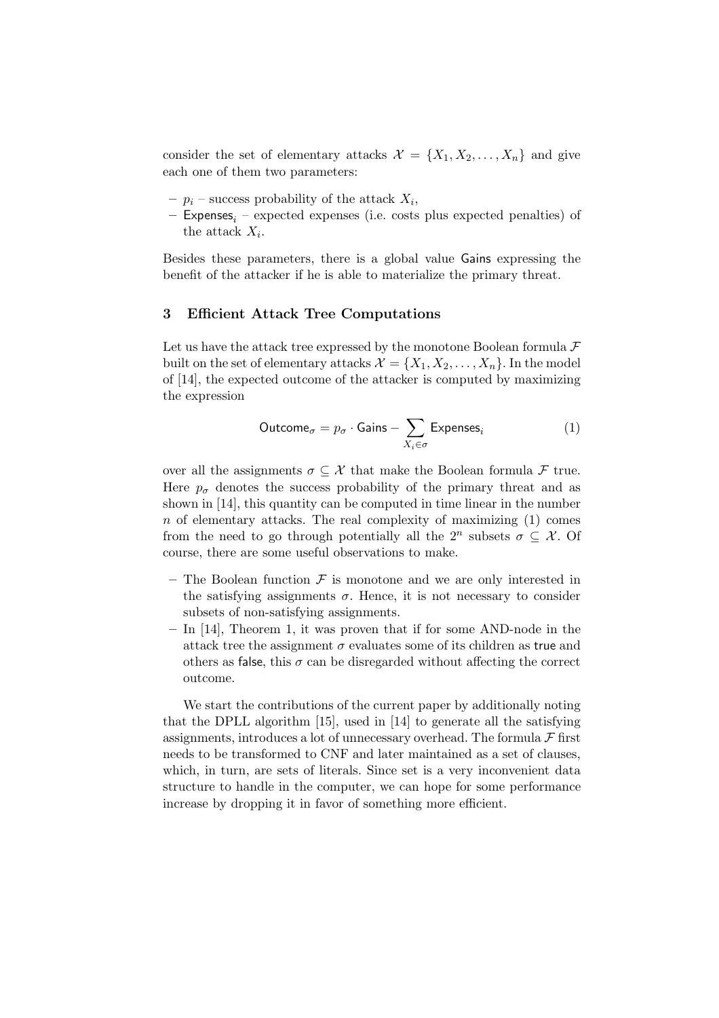consider the set of elementary attacks  $\mathcal{X} = \{X_1, X_2, \ldots, X_n\}$  and give each one of them two parameters:

- $p_i$  success probability of the attack  $X_i$ ,
- Expenses<sub>i</sub> expected expenses (i.e. costs plus expected penalties) of the attack  $X_i$ .

Besides these parameters, there is a global value Gains expressing the benefit of the attacker if he is able to materialize the primary threat.

## 3 Efficient Attack Tree Computations

Let us have the attack tree expressed by the monotone Boolean formula  $\mathcal F$ built on the set of elementary attacks  $\mathcal{X} = \{X_1, X_2, \ldots, X_n\}$ . In the model of [14], the expected outcome of the attacker is computed by maximizing the expression

$$
\text{Outcome}_{\sigma} = p_{\sigma} \cdot \text{Gains} - \sum_{X_i \in \sigma} \text{Expenses}_i \tag{1}
$$

over all the assignments  $\sigma \subset \mathcal{X}$  that make the Boolean formula  $\mathcal{F}$  true. Here  $p_{\sigma}$  denotes the success probability of the primary threat and as shown in [14], this quantity can be computed in time linear in the number  $n$  of elementary attacks. The real complexity of maximizing  $(1)$  comes from the need to go through potentially all the  $2^n$  subsets  $\sigma \subseteq \mathcal{X}$ . Of course, there are some useful observations to make.

- The Boolean function  $\mathcal F$  is monotone and we are only interested in the satisfying assignments  $\sigma$ . Hence, it is not necessary to consider subsets of non-satisfying assignments.
- In [14], Theorem 1, it was proven that if for some AND-node in the attack tree the assignment  $\sigma$  evaluates some of its children as true and others as false, this  $\sigma$  can be disregarded without affecting the correct outcome.

We start the contributions of the current paper by additionally noting that the DPLL algorithm [15], used in [14] to generate all the satisfying assignments, introduces a lot of unnecessary overhead. The formula  ${\mathcal F}$  first needs to be transformed to CNF and later maintained as a set of clauses, which, in turn, are sets of literals. Since set is a very inconvenient data structure to handle in the computer, we can hope for some performance increase by dropping it in favor of something more efficient.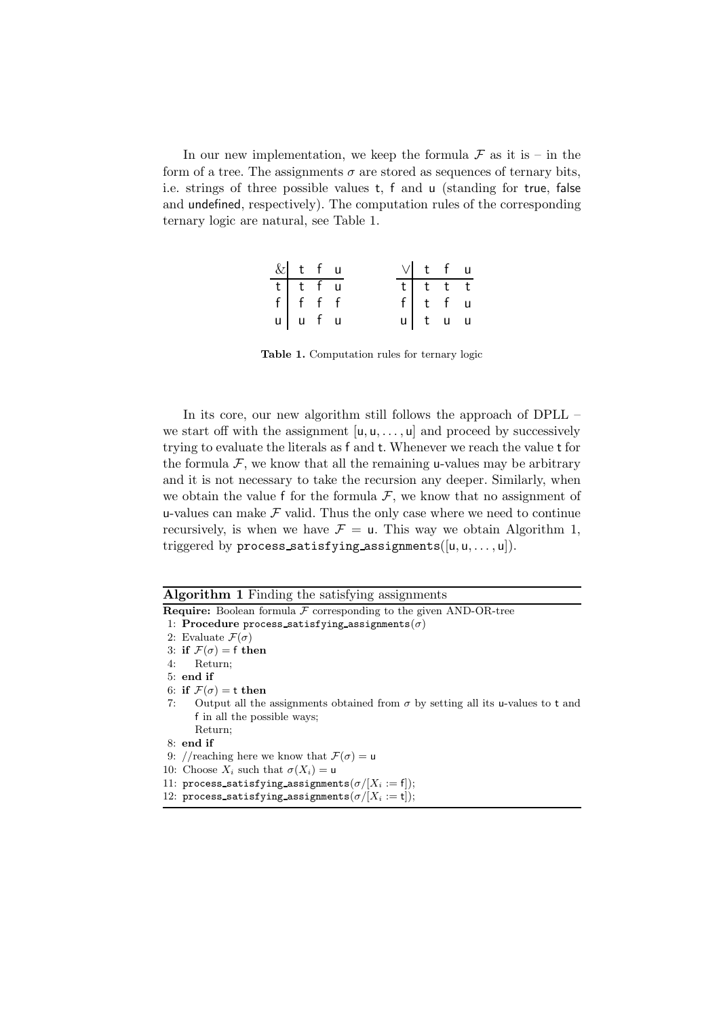In our new implementation, we keep the formula  $\mathcal F$  as it is – in the form of a tree. The assignments  $\sigma$  are stored as sequences of ternary bits, i.e. strings of three possible values t, f and u (standing for true, false and undefined, respectively). The computation rules of the corresponding ternary logic are natural, see Table 1.

| $\&$ t f u                                                       |  |  | $V$ t f u |  |
|------------------------------------------------------------------|--|--|-----------|--|
|                                                                  |  |  | $t$ t t t |  |
| $\begin{array}{c cc} t & t & f & u \\ f & f & f & f \end{array}$ |  |  | $f$ t f u |  |
| $u$ u f u                                                        |  |  | $u$ t u u |  |

Table 1. Computation rules for ternary logic

In its core, our new algorithm still follows the approach of DPLL – we start off with the assignment  $[u, u, \ldots, u]$  and proceed by successively trying to evaluate the literals as f and t. Whenever we reach the value t for the formula  $\mathcal F$ , we know that all the remaining u-values may be arbitrary and it is not necessary to take the recursion any deeper. Similarly, when we obtain the value f for the formula  $\mathcal F$ , we know that no assignment of u-values can make  $\mathcal F$  valid. Thus the only case where we need to continue recursively, is when we have  $\mathcal{F} = \mathsf{u}$ . This way we obtain Algorithm 1, triggered by process satisfying assignments( $[u, u, ..., u]$ ).

Algorithm 1 Finding the satisfying assignments

|                | <b>Require:</b> Boolean formula $\mathcal F$ corresponding to the given AND-OR-tree                                            |  |  |  |  |
|----------------|--------------------------------------------------------------------------------------------------------------------------------|--|--|--|--|
| $\blacksquare$ | $\mathbf{a}$ , and $\mathbf{a}$ , and $\mathbf{a}$ , and $\mathbf{a}$ , and $\mathbf{a}$ , and $\mathbf{a}$ , and $\mathbf{a}$ |  |  |  |  |

<sup>1:</sup> Procedure process\_satisfying\_assignments( $\sigma$ )

- 3: if  $\mathcal{F}(\sigma) = f$  then
- 4: Return;
- 5: end if
- 6: if  $\mathcal{F}(\sigma) = t$  then
- 7: Output all the assignments obtained from  $\sigma$  by setting all its u-values to t and f in all the possible ways; Return;
- 8: end if
- 9: //reaching here we know that  $\mathcal{F}(\sigma) = u$
- 10: Choose  $X_i$  such that  $\sigma(X_i) = u$
- 11: process\_satisfying\_assignments $(\sigma/[X_i := f]);$
- 12: process\_satisfying\_assignments $(\sigma/[X_i := t])$ ;

<sup>2:</sup> Evaluate  $\mathcal{F}(\sigma)$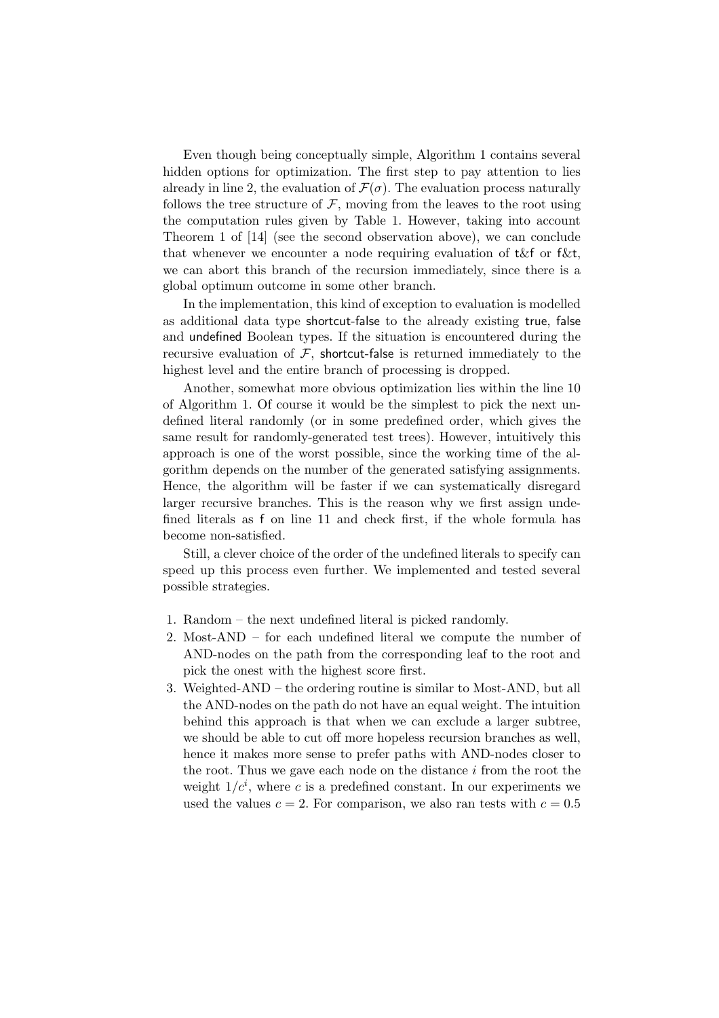Even though being conceptually simple, Algorithm 1 contains several hidden options for optimization. The first step to pay attention to lies already in line 2, the evaluation of  $\mathcal{F}(\sigma)$ . The evaluation process naturally follows the tree structure of  $\mathcal{F}$ , moving from the leaves to the root using the computation rules given by Table 1. However, taking into account Theorem 1 of [14] (see the second observation above), we can conclude that whenever we encounter a node requiring evaluation of t&f or f&t, we can abort this branch of the recursion immediately, since there is a global optimum outcome in some other branch.

In the implementation, this kind of exception to evaluation is modelled as additional data type shortcut-false to the already existing true, false and undefined Boolean types. If the situation is encountered during the recursive evaluation of  $F$ , shortcut-false is returned immediately to the highest level and the entire branch of processing is dropped.

Another, somewhat more obvious optimization lies within the line 10 of Algorithm 1. Of course it would be the simplest to pick the next undefined literal randomly (or in some predefined order, which gives the same result for randomly-generated test trees). However, intuitively this approach is one of the worst possible, since the working time of the algorithm depends on the number of the generated satisfying assignments. Hence, the algorithm will be faster if we can systematically disregard larger recursive branches. This is the reason why we first assign undefined literals as f on line 11 and check first, if the whole formula has become non-satisfied.

Still, a clever choice of the order of the undefined literals to specify can speed up this process even further. We implemented and tested several possible strategies.

- 1. Random the next undefined literal is picked randomly.
- 2. Most-AND for each undefined literal we compute the number of AND-nodes on the path from the corresponding leaf to the root and pick the onest with the highest score first.
- 3. Weighted-AND the ordering routine is similar to Most-AND, but all the AND-nodes on the path do not have an equal weight. The intuition behind this approach is that when we can exclude a larger subtree, we should be able to cut off more hopeless recursion branches as well, hence it makes more sense to prefer paths with AND-nodes closer to the root. Thus we gave each node on the distance  $i$  from the root the weight  $1/c^i$ , where c is a predefined constant. In our experiments we used the values  $c = 2$ . For comparison, we also ran tests with  $c = 0.5$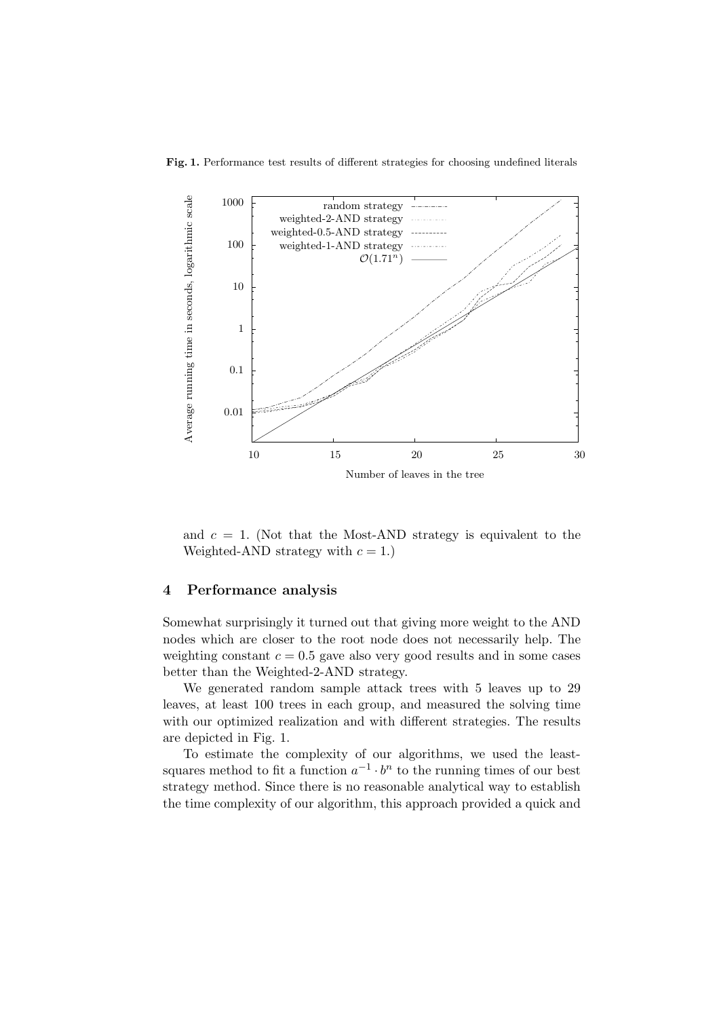Fig. 1. Performance test results of different strategies for choosing undefined literals



and  $c = 1$ . (Not that the Most-AND strategy is equivalent to the Weighted-AND strategy with  $c = 1$ .)

## 4 Performance analysis

Somewhat surprisingly it turned out that giving more weight to the AND nodes which are closer to the root node does not necessarily help. The weighting constant  $c = 0.5$  gave also very good results and in some cases better than the Weighted-2-AND strategy.

We generated random sample attack trees with 5 leaves up to 29 leaves, at least 100 trees in each group, and measured the solving time with our optimized realization and with different strategies. The results are depicted in Fig. 1.

To estimate the complexity of our algorithms, we used the leastsquares method to fit a function  $a^{-1} \cdot b^n$  to the running times of our best strategy method. Since there is no reasonable analytical way to establish the time complexity of our algorithm, this approach provided a quick and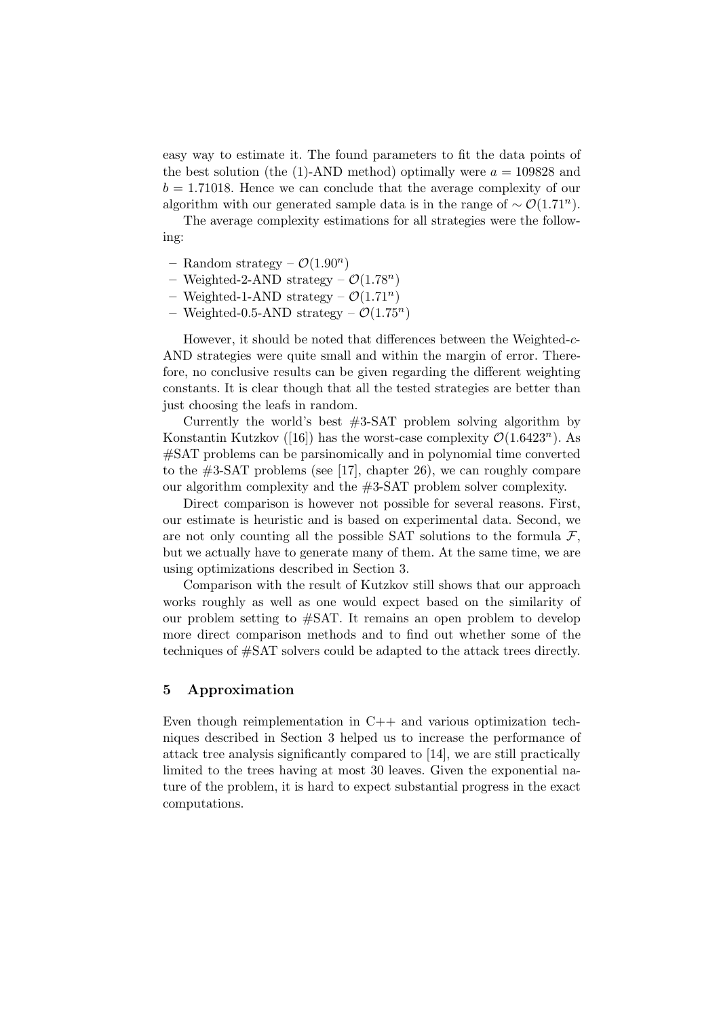easy way to estimate it. The found parameters to fit the data points of the best solution (the (1)-AND method) optimally were  $a = 109828$  and  $b = 1.71018$ . Hence we can conclude that the average complexity of our algorithm with our generated sample data is in the range of  $\sim \mathcal{O}(1.71^n)$ .

The average complexity estimations for all strategies were the following:

- Random strategy  $-\mathcal{O}(1.90^n)$
- Weighted-2-AND strategy  $-\mathcal{O}(1.78^n)$
- Weighted-1-AND strategy  $-\mathcal{O}(1.71^n)$
- Weighted-0.5-AND strategy  $-\mathcal{O}(1.75^n)$

However, it should be noted that differences between the Weighted-c-AND strategies were quite small and within the margin of error. Therefore, no conclusive results can be given regarding the different weighting constants. It is clear though that all the tested strategies are better than just choosing the leafs in random.

Currently the world's best  $#3$ -SAT problem solving algorithm by Konstantin Kutzkov ([16]) has the worst-case complexity  $\mathcal{O}(1.6423^n)$ . As #SAT problems can be parsinomically and in polynomial time converted to the  $\#3\text{-SAT problems}$  (see [17], chapter 26), we can roughly compare our algorithm complexity and the #3-SAT problem solver complexity.

Direct comparison is however not possible for several reasons. First, our estimate is heuristic and is based on experimental data. Second, we are not only counting all the possible SAT solutions to the formula  $\mathcal{F}$ , but we actually have to generate many of them. At the same time, we are using optimizations described in Section 3.

Comparison with the result of Kutzkov still shows that our approach works roughly as well as one would expect based on the similarity of our problem setting to #SAT. It remains an open problem to develop more direct comparison methods and to find out whether some of the techniques of #SAT solvers could be adapted to the attack trees directly.

## 5 Approximation

Even though reimplementation in  $C++$  and various optimization techniques described in Section 3 helped us to increase the performance of attack tree analysis significantly compared to [14], we are still practically limited to the trees having at most 30 leaves. Given the exponential nature of the problem, it is hard to expect substantial progress in the exact computations.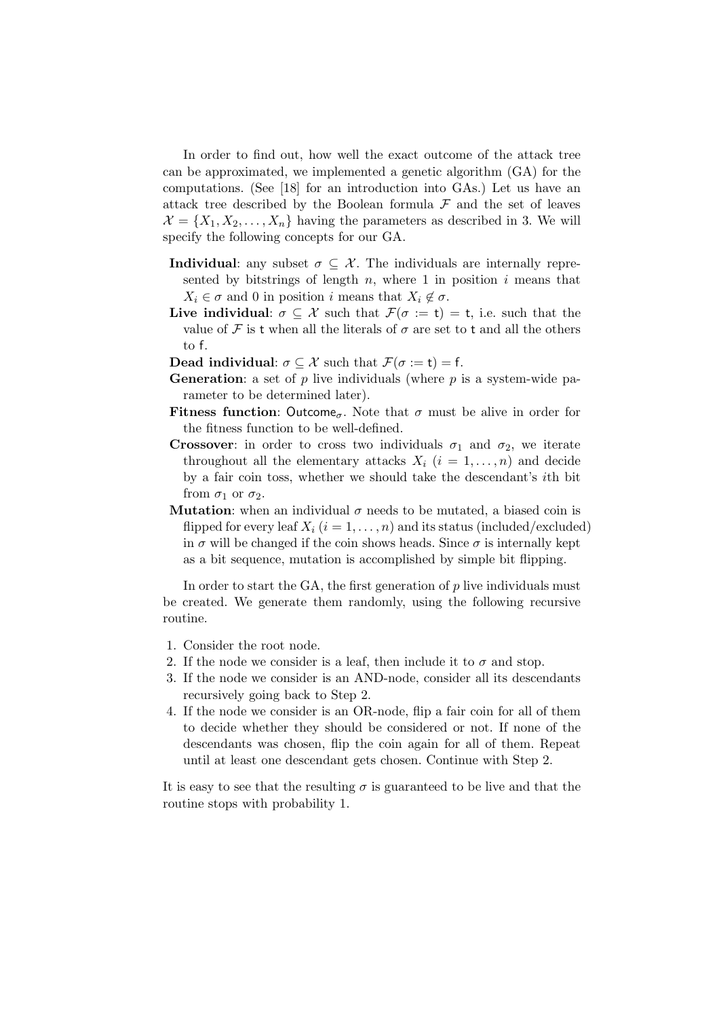In order to find out, how well the exact outcome of the attack tree can be approximated, we implemented a genetic algorithm (GA) for the computations. (See [18] for an introduction into GAs.) Let us have an attack tree described by the Boolean formula  $\mathcal F$  and the set of leaves  $\mathcal{X} = \{X_1, X_2, \ldots, X_n\}$  having the parameters as described in 3. We will specify the following concepts for our GA.

- **Individual:** any subset  $\sigma \subseteq \mathcal{X}$ . The individuals are internally represented by bitstrings of length  $n$ , where 1 in position  $i$  means that  $X_i \in \sigma$  and 0 in position i means that  $X_i \notin \sigma$ .
- Live individual:  $\sigma \subseteq \mathcal{X}$  such that  $\mathcal{F}(\sigma := t) = t$ , i.e. such that the value of F is t when all the literals of  $\sigma$  are set to t and all the others to f.
- **Dead individual:**  $\sigma \subseteq \mathcal{X}$  such that  $\mathcal{F}(\sigma := t) = f$ .
- **Generation:** a set of p live individuals (where p is a system-wide parameter to be determined later).
- **Fitness function:** Outcome<sub>σ</sub>. Note that  $\sigma$  must be alive in order for the fitness function to be well-defined.
- **Crossover:** in order to cross two individuals  $\sigma_1$  and  $\sigma_2$ , we iterate throughout all the elementary attacks  $X_i$   $(i = 1, \ldots, n)$  and decide by a fair coin toss, whether we should take the descendant's ith bit from  $\sigma_1$  or  $\sigma_2$ .
- **Mutation:** when an individual  $\sigma$  needs to be mutated, a biased coin is flipped for every leaf  $X_i$   $(i = 1, \ldots, n)$  and its status (included/excluded) in  $\sigma$  will be changed if the coin shows heads. Since  $\sigma$  is internally kept as a bit sequence, mutation is accomplished by simple bit flipping.

In order to start the GA, the first generation of  $p$  live individuals must be created. We generate them randomly, using the following recursive routine.

- 1. Consider the root node.
- 2. If the node we consider is a leaf, then include it to  $\sigma$  and stop.
- 3. If the node we consider is an AND-node, consider all its descendants recursively going back to Step 2.
- 4. If the node we consider is an OR-node, flip a fair coin for all of them to decide whether they should be considered or not. If none of the descendants was chosen, flip the coin again for all of them. Repeat until at least one descendant gets chosen. Continue with Step 2.

It is easy to see that the resulting  $\sigma$  is guaranteed to be live and that the routine stops with probability 1.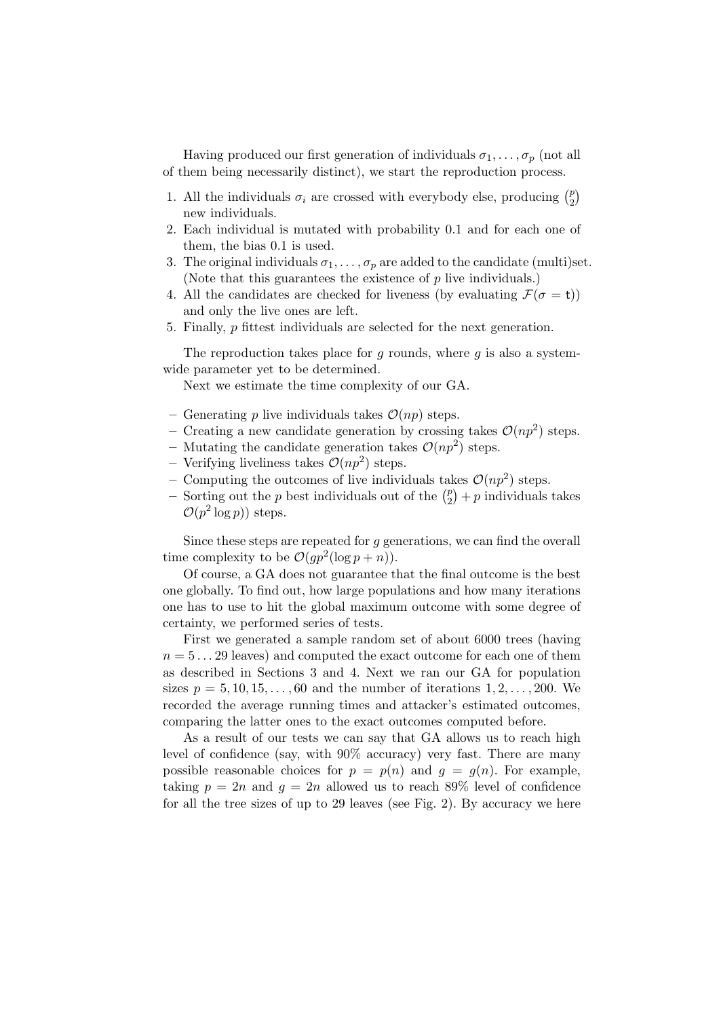Having produced our first generation of individuals  $\sigma_1, \ldots, \sigma_p$  (not all of them being necessarily distinct), we start the reproduction process.

- 1. All the individuals  $\sigma_i$  are crossed with everybody else, producing  $\binom{p}{2}$ new individuals.
- 2. Each individual is mutated with probability 0.1 and for each one of them, the bias 0.1 is used.
- 3. The original individuals  $\sigma_1, \ldots, \sigma_p$  are added to the candidate (multi)set. (Note that this guarantees the existence of  $p$  live individuals.)
- 4. All the candidates are checked for liveness (by evaluating  $\mathcal{F}(\sigma = t)$ ) and only the live ones are left.
- 5. Finally, p fittest individuals are selected for the next generation.

The reproduction takes place for  $q$  rounds, where  $q$  is also a systemwide parameter yet to be determined.

Next we estimate the time complexity of our GA.

- Generating p live individuals takes  $\mathcal{O}(np)$  steps.
- Creating a new candidate generation by crossing takes  $\mathcal{O}(np^2)$  steps.
- Mutating the candidate generation takes  $\mathcal{O}(np^2)$  steps.
- Verifying liveliness takes  $\mathcal{O}(np^2)$  steps.
- Computing the outcomes of live individuals takes  $\mathcal{O}(np^2)$  steps.
- Sorting out the p best individuals out of the  $\binom{p}{2}+p$  individuals takes  $\mathcal{O}(p^2 \log p)$  steps.

Since these steps are repeated for  $g$  generations, we can find the overall time complexity to be  $\mathcal{O}(qp^2(\log p + n))$ .

Of course, a GA does not guarantee that the final outcome is the best one globally. To find out, how large populations and how many iterations one has to use to hit the global maximum outcome with some degree of certainty, we performed series of tests.

First we generated a sample random set of about 6000 trees (having  $n = 5...29$  leaves) and computed the exact outcome for each one of them as described in Sections 3 and 4. Next we ran our GA for population sizes  $p = 5, 10, 15, \ldots, 60$  and the number of iterations  $1, 2, \ldots, 200$ . We recorded the average running times and attacker's estimated outcomes, comparing the latter ones to the exact outcomes computed before.

As a result of our tests we can say that GA allows us to reach high level of confidence (say, with 90% accuracy) very fast. There are many possible reasonable choices for  $p = p(n)$  and  $q = q(n)$ . For example, taking  $p = 2n$  and  $q = 2n$  allowed us to reach 89% level of confidence for all the tree sizes of up to 29 leaves (see Fig. 2). By accuracy we here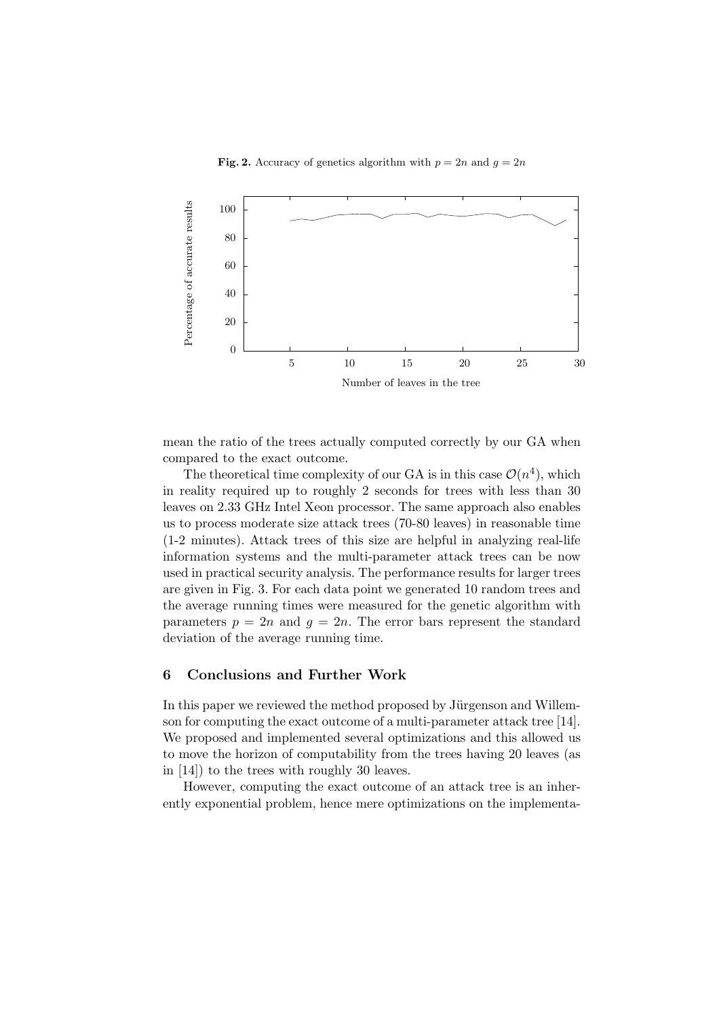Fig. 2. Accuracy of genetics algorithm with  $p = 2n$  and  $q = 2n$ 



mean the ratio of the trees actually computed correctly by our GA when compared to the exact outcome.

The theoretical time complexity of our GA is in this case  $\mathcal{O}(n^4)$ , which in reality required up to roughly 2 seconds for trees with less than 30 leaves on 2.33 GHz Intel Xeon processor. The same approach also enables us to process moderate size attack trees (70-80 leaves) in reasonable time (1-2 minutes). Attack trees of this size are helpful in analyzing real-life information systems and the multi-parameter attack trees can be now used in practical security analysis. The performance results for larger trees are given in Fig. 3. For each data point we generated 10 random trees and the average running times were measured for the genetic algorithm with parameters  $p = 2n$  and  $q = 2n$ . The error bars represent the standard deviation of the average running time.

### 6 Conclusions and Further Work

In this paper we reviewed the method proposed by Jürgenson and Willemson for computing the exact outcome of a multi-parameter attack tree [14]. We proposed and implemented several optimizations and this allowed us to move the horizon of computability from the trees having 20 leaves (as in [14]) to the trees with roughly 30 leaves.

However, computing the exact outcome of an attack tree is an inherently exponential problem, hence mere optimizations on the implementa-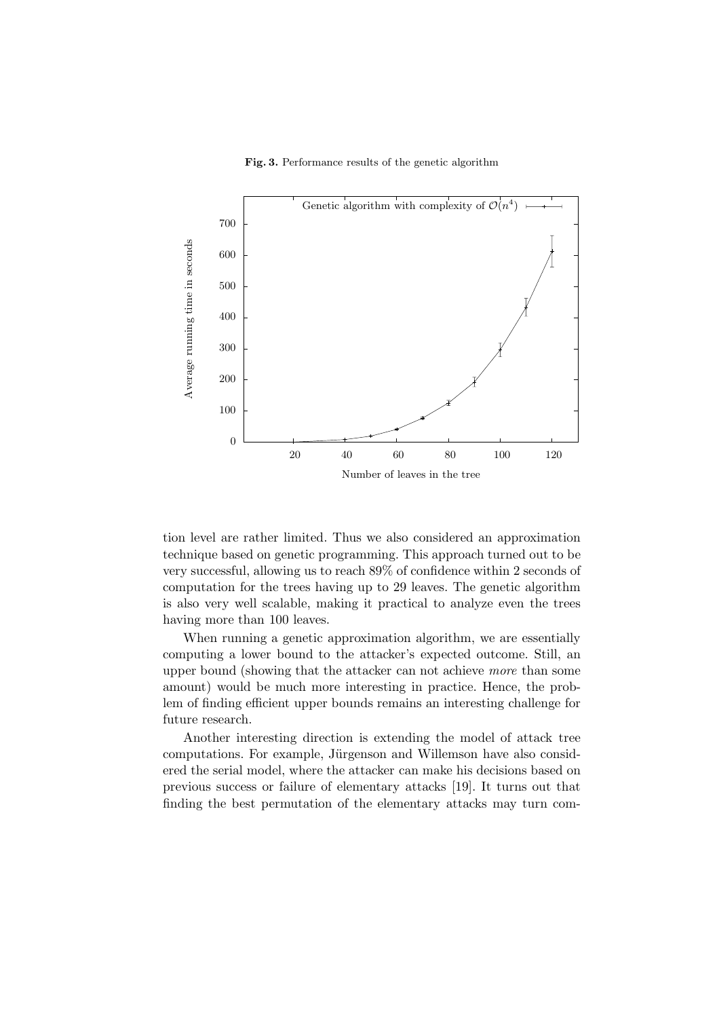Fig. 3. Performance results of the genetic algorithm



tion level are rather limited. Thus we also considered an approximation technique based on genetic programming. This approach turned out to be very successful, allowing us to reach 89% of confidence within 2 seconds of computation for the trees having up to 29 leaves. The genetic algorithm is also very well scalable, making it practical to analyze even the trees having more than 100 leaves.

When running a genetic approximation algorithm, we are essentially computing a lower bound to the attacker's expected outcome. Still, an upper bound (showing that the attacker can not achieve more than some amount) would be much more interesting in practice. Hence, the problem of finding efficient upper bounds remains an interesting challenge for future research.

Another interesting direction is extending the model of attack tree computations. For example, Jürgenson and Willemson have also considered the serial model, where the attacker can make his decisions based on previous success or failure of elementary attacks [19]. It turns out that finding the best permutation of the elementary attacks may turn com-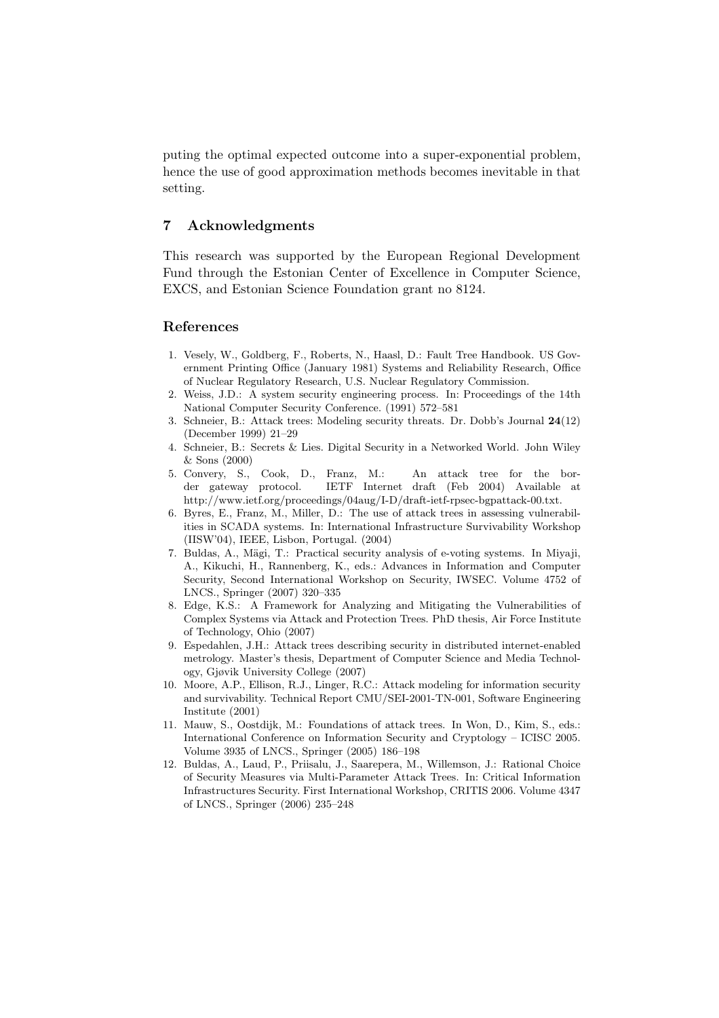puting the optimal expected outcome into a super-exponential problem, hence the use of good approximation methods becomes inevitable in that setting.

## 7 Acknowledgments

This research was supported by the European Regional Development Fund through the Estonian Center of Excellence in Computer Science, EXCS, and Estonian Science Foundation grant no 8124.

#### References

- 1. Vesely, W., Goldberg, F., Roberts, N., Haasl, D.: Fault Tree Handbook. US Government Printing Office (January 1981) Systems and Reliability Research, Office of Nuclear Regulatory Research, U.S. Nuclear Regulatory Commission.
- 2. Weiss, J.D.: A system security engineering process. In: Proceedings of the 14th National Computer Security Conference. (1991) 572–581
- 3. Schneier, B.: Attack trees: Modeling security threats. Dr. Dobb's Journal 24(12) (December 1999) 21–29
- 4. Schneier, B.: Secrets & Lies. Digital Security in a Networked World. John Wiley & Sons (2000)
- 5. Convery, S., Cook, D., Franz, M.: An attack tree for the border gateway protocol. IETF Internet draft (Feb 2004) Available at http://www.ietf.org/proceedings/04aug/I-D/draft-ietf-rpsec-bgpattack-00.txt.
- 6. Byres, E., Franz, M., Miller, D.: The use of attack trees in assessing vulnerabilities in SCADA systems. In: International Infrastructure Survivability Workshop (IISW'04), IEEE, Lisbon, Portugal. (2004)
- 7. Buldas, A., Mägi, T.: Practical security analysis of e-voting systems. In Miyaji, A., Kikuchi, H., Rannenberg, K., eds.: Advances in Information and Computer Security, Second International Workshop on Security, IWSEC. Volume 4752 of LNCS., Springer (2007) 320–335
- 8. Edge, K.S.: A Framework for Analyzing and Mitigating the Vulnerabilities of Complex Systems via Attack and Protection Trees. PhD thesis, Air Force Institute of Technology, Ohio (2007)
- 9. Espedahlen, J.H.: Attack trees describing security in distributed internet-enabled metrology. Master's thesis, Department of Computer Science and Media Technology, Gjøvik University College (2007)
- 10. Moore, A.P., Ellison, R.J., Linger, R.C.: Attack modeling for information security and survivability. Technical Report CMU/SEI-2001-TN-001, Software Engineering Institute (2001)
- 11. Mauw, S., Oostdijk, M.: Foundations of attack trees. In Won, D., Kim, S., eds.: International Conference on Information Security and Cryptology – ICISC 2005. Volume 3935 of LNCS., Springer (2005) 186–198
- 12. Buldas, A., Laud, P., Priisalu, J., Saarepera, M., Willemson, J.: Rational Choice of Security Measures via Multi-Parameter Attack Trees. In: Critical Information Infrastructures Security. First International Workshop, CRITIS 2006. Volume 4347 of LNCS., Springer (2006) 235–248